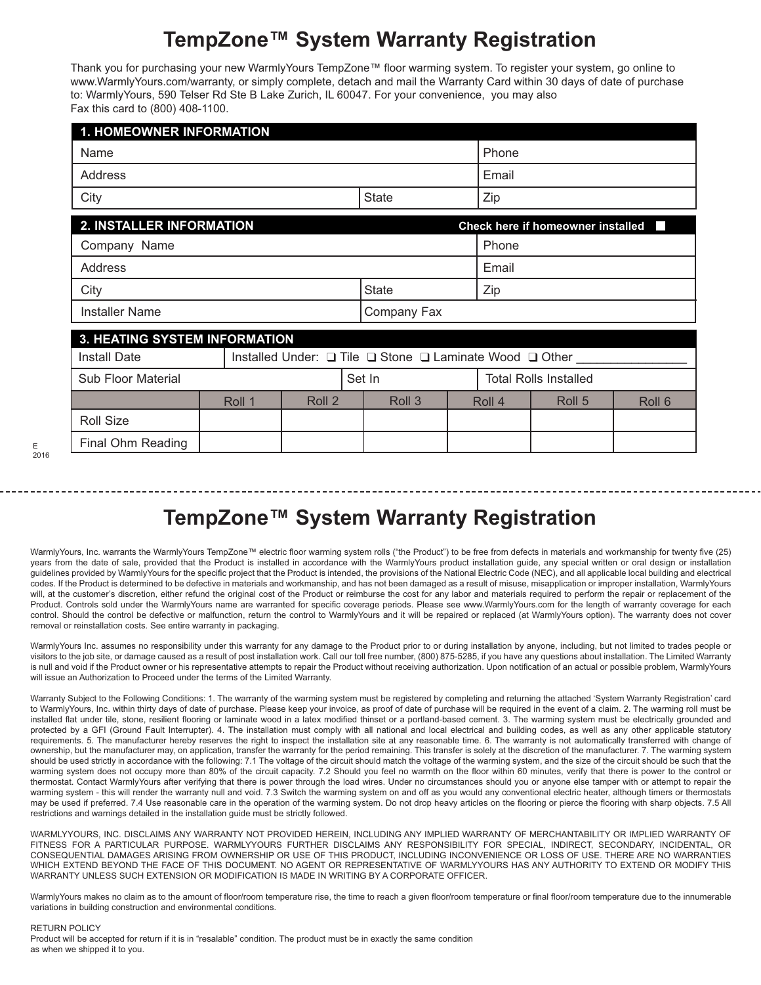## **TempZone™ System Warranty Registration**

Thank you for purchasing your new WarmlyYours TempZone™ floor warming system. To register your system, go online to www.WarmlyYours.com/warranty, or simply complete, detach and mail the Warranty Card within 30 days of date of purchase to: WarmlyYours, 590 Telser Rd Ste B Lake Zurich, IL 60047. For your convenience, you may also Fax this card to (800) 408-1100.

| <b>1. HOMEOWNER INFORMATION</b>                                      |              |     |  |  |  |  |  |
|----------------------------------------------------------------------|--------------|-----|--|--|--|--|--|
| Name                                                                 | Phone        |     |  |  |  |  |  |
| Address                                                              | Email        |     |  |  |  |  |  |
| City                                                                 | <b>State</b> | Zip |  |  |  |  |  |
| <b>2. INSTALLER INFORMATION</b><br>Check here if homeowner installed |              |     |  |  |  |  |  |
| Company Name                                                         | Phone        |     |  |  |  |  |  |
| Address                                                              | Email        |     |  |  |  |  |  |
| City                                                                 | <b>State</b> | Zip |  |  |  |  |  |
| <b>Installer Name</b>                                                | Company Fax  |     |  |  |  |  |  |
| <b>3. HEATING SYSTEM INFORMATION</b>                                 |              |     |  |  |  |  |  |

| <u>S. HEATING OTOTEM IN ONMATION</u>                    |        |  |        |        |                              |                   |        |  |  |  |
|---------------------------------------------------------|--------|--|--------|--------|------------------------------|-------------------|--------|--|--|--|
| Installed Under: □ Tile □ Stone □ Laminate Wood □ Other |        |  |        |        |                              |                   |        |  |  |  |
| Sub Floor Material                                      |        |  |        |        | <b>Total Rolls Installed</b> |                   |        |  |  |  |
|                                                         | Roll 2 |  | Roll 3 |        |                              | Roll <sub>5</sub> | Roll 6 |  |  |  |
|                                                         |        |  |        |        |                              |                   |        |  |  |  |
|                                                         |        |  |        |        |                              |                   |        |  |  |  |
|                                                         | Roll 1 |  |        | Set In |                              | Roll 4            |        |  |  |  |

## **TempZone™ System Warranty Registration**

WarmlyYours, Inc. warrants the WarmlyYours TempZone™ electric floor warming system rolls ("the Product") to be free from defects in materials and workmanship for twenty five (25) years from the date of sale, provided that the Product is installed in accordance with the WarmlyYours product installation guide, any special written or oral design or installation guidelines provided by WarmlyYours for the specific project that the Product is intended, the provisions of the National Electric Code (NEC), and all applicable local building and electrical codes. If the Product is determined to be defective in materials and workmanship, and has not been damaged as a result of misuse, misapplication or improper installation, WarmlyYours will, at the customer's discretion, either refund the original cost of the Product or reimburse the cost for any labor and materials required to perform the repair or replacement of the Product. Controls sold under the WarmlyYours name are warranted for specific coverage periods. Please see www.WarmlyYours.com for the length of warranty coverage for each control. Should the control be defective or malfunction, return the control to WarmlyYours and it will be repaired or replaced (at WarmlyYours option). The warranty does not cover removal or reinstallation costs. See entire warranty in packaging.

WarmlyYours Inc. assumes no responsibility under this warranty for any damage to the Product prior to or during installation by anyone, including, but not limited to trades people or visitors to the job site, or damage caused as a result of post installation work. Call our toll free number, (800) 875-5285, if you have any questions about installation. The Limited Warranty is null and void if the Product owner or his representative attempts to repair the Product without receiving authorization. Upon notification of an actual or possible problem, WarmlyYours will issue an Authorization to Proceed under the terms of the Limited Warranty.

Warranty Subject to the Following Conditions: 1. The warranty of the warming system must be registered by completing and returning the attached 'System Warranty Registration' card to WarmlyYours, Inc. within thirty days of date of purchase. Please keep your invoice, as proof of date of purchase will be required in the event of a claim. 2. The warming roll must be installed flat under tile, stone, resilient flooring or laminate wood in a latex modified thinset or a portland-based cement. 3. The warming system must be electrically grounded and protected by a GFI (Ground Fault Interrupter). 4. The installation must comply with all national and local electrical and building codes, as well as any other applicable statutory requirements. 5. The manufacturer hereby reserves the right to inspect the installation site at any reasonable time. 6. The warranty is not automatically transferred with change of ownership, but the manufacturer may, on application, transfer the warranty for the period remaining. This transfer is solely at the discretion of the manufacturer. 7. The warming system should be used strictly in accordance with the following: 7.1 The voltage of the circuit should match the voltage of the warming system, and the size of the circuit should be such that the warming system does not occupy more than 80% of the circuit capacity. 7.2 Should you feel no warmth on the floor within 60 minutes, verify that there is power to the control or thermostat. Contact WarmlyYours after verifying that there is power through the load wires. Under no circumstances should you or anyone else tamper with or attempt to repair the warming system - this will render the warranty null and void. 7.3 Switch the warming system on and off as you would any conventional electric heater, although timers or thermostats may be used if preferred. 7.4 Use reasonable care in the operation of the warming system. Do not drop heavy articles on the flooring or pierce the flooring with sharp objects. 7.5 All restrictions and warnings detailed in the installation guide must be strictly followed.

WARMLYYOURS, INC. DISCLAIMS ANY WARRANTY NOT PROVIDED HEREIN, INCLUDING ANY IMPLIED WARRANTY OF MERCHANTABILITY OR IMPLIED WARRANTY OF FITNESS FOR A PARTICULAR PURPOSE. WARMLYYOURS FURTHER DISCLAIMS ANY RESPONSIBILITY FOR SPECIAL, INDIRECT, SECONDARY, INCIDENTAL, OR CONSEQUENTIAL DAMAGES ARISING FROM OWNERSHIP OR USE OF THIS PRODUCT, INCLUDING INCONVENIENCE OR LOSS OF USE. THERE ARE NO WARRANTIES WHICH EXTEND BEYOND THE FACE OF THIS DOCUMENT. NO AGENT OR REPRESENTATIVE OF WARMLYYOURS HAS ANY AUTHORITY TO EXTEND OR MODIFY THIS WARRANTY UNLESS SUCH EXTENSION OR MODIFICATION IS MADE IN WRITING BY A CORPORATE OFFICER.

WarmlyYours makes no claim as to the amount of floor/room temperature rise, the time to reach a given floor/room temperature or final floor/room temperature due to the innumerable variations in building construction and environmental conditions.

RETURN POLICY

Product will be accepted for return if it is in "resalable" condition. The product must be in exactly the same condition as when we shipped it to you.